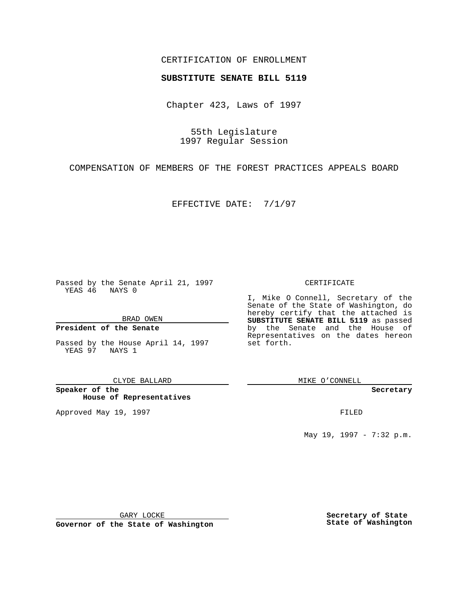## CERTIFICATION OF ENROLLMENT

# **SUBSTITUTE SENATE BILL 5119**

Chapter 423, Laws of 1997

55th Legislature 1997 Regular Session

COMPENSATION OF MEMBERS OF THE FOREST PRACTICES APPEALS BOARD

EFFECTIVE DATE: 7/1/97

Passed by the Senate April 21, 1997 YEAS 46 NAYS 0

BRAD OWEN

### **President of the Senate**

Passed by the House April 14, 1997 YEAS 97 NAYS 1

CLYDE BALLARD

**Speaker of the House of Representatives**

Approved May 19, 1997 **FILED** 

### CERTIFICATE

I, Mike O Connell, Secretary of the Senate of the State of Washington, do hereby certify that the attached is **SUBSTITUTE SENATE BILL 5119** as passed by the Senate and the House of Representatives on the dates hereon set forth.

MIKE O'CONNELL

#### **Secretary**

May 19, 1997 - 7:32 p.m.

GARY LOCKE

**Governor of the State of Washington**

**Secretary of State State of Washington**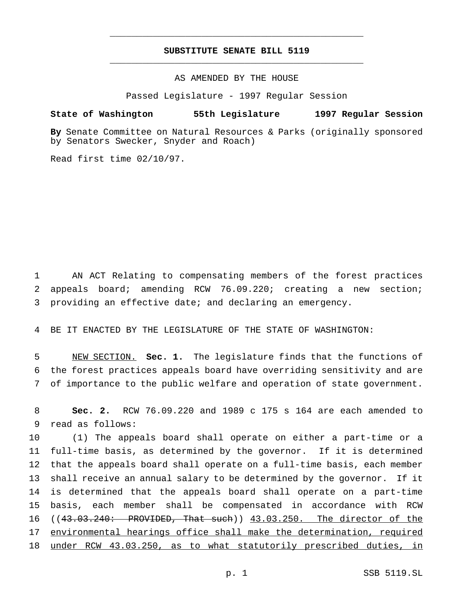# **SUBSTITUTE SENATE BILL 5119** \_\_\_\_\_\_\_\_\_\_\_\_\_\_\_\_\_\_\_\_\_\_\_\_\_\_\_\_\_\_\_\_\_\_\_\_\_\_\_\_\_\_\_\_\_\_\_

\_\_\_\_\_\_\_\_\_\_\_\_\_\_\_\_\_\_\_\_\_\_\_\_\_\_\_\_\_\_\_\_\_\_\_\_\_\_\_\_\_\_\_\_\_\_\_

AS AMENDED BY THE HOUSE

Passed Legislature - 1997 Regular Session

### **State of Washington 55th Legislature 1997 Regular Session**

**By** Senate Committee on Natural Resources & Parks (originally sponsored by Senators Swecker, Snyder and Roach)

Read first time 02/10/97.

1 AN ACT Relating to compensating members of the forest practices 2 appeals board; amending RCW 76.09.220; creating a new section; 3 providing an effective date; and declaring an emergency.

4 BE IT ENACTED BY THE LEGISLATURE OF THE STATE OF WASHINGTON:

5 NEW SECTION. **Sec. 1.** The legislature finds that the functions of 6 the forest practices appeals board have overriding sensitivity and are 7 of importance to the public welfare and operation of state government.

8 **Sec. 2.** RCW 76.09.220 and 1989 c 175 s 164 are each amended to 9 read as follows:

 (1) The appeals board shall operate on either a part-time or a full-time basis, as determined by the governor. If it is determined that the appeals board shall operate on a full-time basis, each member shall receive an annual salary to be determined by the governor. If it is determined that the appeals board shall operate on a part-time basis, each member shall be compensated in accordance with RCW 16 ((43.03.240: PROVIDED, That such)) 43.03.250. The director of the 17 environmental hearings office shall make the determination, required under RCW 43.03.250, as to what statutorily prescribed duties, in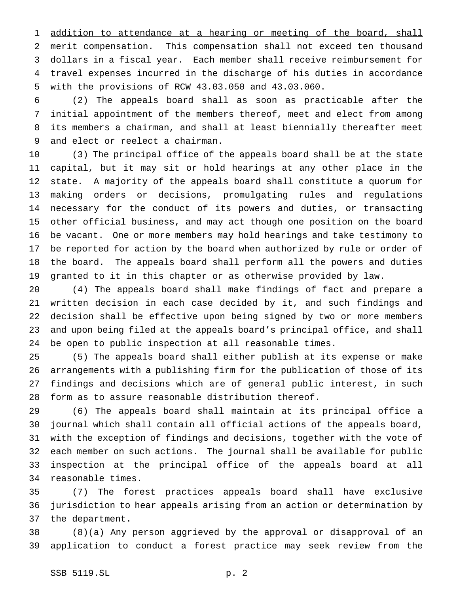1 addition to attendance at a hearing or meeting of the board, shall merit compensation. This compensation shall not exceed ten thousand dollars in a fiscal year. Each member shall receive reimbursement for travel expenses incurred in the discharge of his duties in accordance with the provisions of RCW 43.03.050 and 43.03.060.

 (2) The appeals board shall as soon as practicable after the initial appointment of the members thereof, meet and elect from among its members a chairman, and shall at least biennially thereafter meet and elect or reelect a chairman.

 (3) The principal office of the appeals board shall be at the state capital, but it may sit or hold hearings at any other place in the state. A majority of the appeals board shall constitute a quorum for making orders or decisions, promulgating rules and regulations necessary for the conduct of its powers and duties, or transacting other official business, and may act though one position on the board be vacant. One or more members may hold hearings and take testimony to be reported for action by the board when authorized by rule or order of the board. The appeals board shall perform all the powers and duties granted to it in this chapter or as otherwise provided by law.

 (4) The appeals board shall make findings of fact and prepare a written decision in each case decided by it, and such findings and decision shall be effective upon being signed by two or more members and upon being filed at the appeals board's principal office, and shall be open to public inspection at all reasonable times.

 (5) The appeals board shall either publish at its expense or make arrangements with a publishing firm for the publication of those of its findings and decisions which are of general public interest, in such form as to assure reasonable distribution thereof.

 (6) The appeals board shall maintain at its principal office a journal which shall contain all official actions of the appeals board, with the exception of findings and decisions, together with the vote of each member on such actions. The journal shall be available for public inspection at the principal office of the appeals board at all reasonable times.

 (7) The forest practices appeals board shall have exclusive jurisdiction to hear appeals arising from an action or determination by the department.

 (8)(a) Any person aggrieved by the approval or disapproval of an application to conduct a forest practice may seek review from the